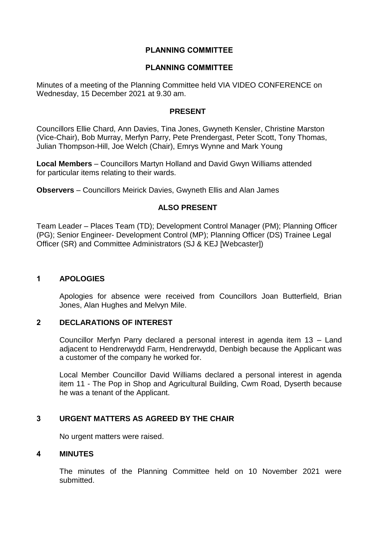# **PLANNING COMMITTEE**

### **PLANNING COMMITTEE**

Minutes of a meeting of the Planning Committee held VIA VIDEO CONFERENCE on Wednesday, 15 December 2021 at 9.30 am.

#### **PRESENT**

Councillors Ellie Chard, Ann Davies, Tina Jones, Gwyneth Kensler, Christine Marston (Vice-Chair), Bob Murray, Merfyn Parry, Pete Prendergast, Peter Scott, Tony Thomas, Julian Thompson-Hill, Joe Welch (Chair), Emrys Wynne and Mark Young

**Local Members** – Councillors Martyn Holland and David Gwyn Williams attended for particular items relating to their wards.

**Observers** – Councillors Meirick Davies, Gwyneth Ellis and Alan James

# **ALSO PRESENT**

Team Leader – Places Team (TD); Development Control Manager (PM); Planning Officer (PG); Senior Engineer- Development Control (MP); Planning Officer (DS) Trainee Legal Officer (SR) and Committee Administrators (SJ & KEJ [Webcaster])

# **1 APOLOGIES**

Apologies for absence were received from Councillors Joan Butterfield, Brian Jones, Alan Hughes and Melvyn Mile.

# **2 DECLARATIONS OF INTEREST**

Councillor Merfyn Parry declared a personal interest in agenda item 13 – Land adjacent to Hendrerwydd Farm, Hendrerwydd, Denbigh because the Applicant was a customer of the company he worked for.

Local Member Councillor David Williams declared a personal interest in agenda item 11 - The Pop in Shop and Agricultural Building, Cwm Road, Dyserth because he was a tenant of the Applicant.

# **3 URGENT MATTERS AS AGREED BY THE CHAIR**

No urgent matters were raised.

# **4 MINUTES**

The minutes of the Planning Committee held on 10 November 2021 were submitted.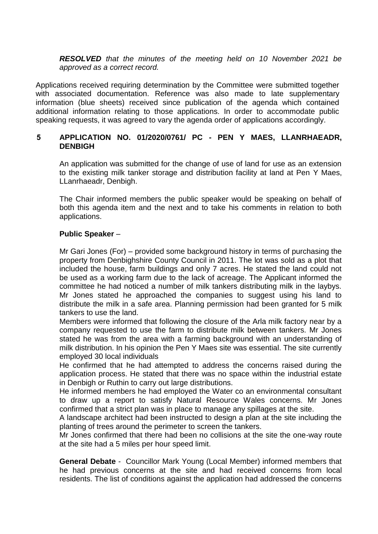*RESOLVED that the minutes of the meeting held on 10 November 2021 be approved as a correct record.*

Applications received requiring determination by the Committee were submitted together with associated documentation. Reference was also made to late supplementary information (blue sheets) received since publication of the agenda which contained additional information relating to those applications. In order to accommodate public speaking requests, it was agreed to vary the agenda order of applications accordingly.

# **5 APPLICATION NO. 01/2020/0761/ PC - PEN Y MAES, LLANRHAEADR, DENBIGH**

An application was submitted for the change of use of land for use as an extension to the existing milk tanker storage and distribution facility at land at Pen Y Maes, LLanrhaeadr, Denbigh.

The Chair informed members the public speaker would be speaking on behalf of both this agenda item and the next and to take his comments in relation to both applications.

# **Public Speaker** –

Mr Gari Jones (For) – provided some background history in terms of purchasing the property from Denbighshire County Council in 2011. The lot was sold as a plot that included the house, farm buildings and only 7 acres. He stated the land could not be used as a working farm due to the lack of acreage. The Applicant informed the committee he had noticed a number of milk tankers distributing milk in the laybys. Mr Jones stated he approached the companies to suggest using his land to distribute the milk in a safe area. Planning permission had been granted for 5 milk tankers to use the land.

Members were informed that following the closure of the Arla milk factory near by a company requested to use the farm to distribute milk between tankers. Mr Jones stated he was from the area with a farming background with an understanding of milk distribution. In his opinion the Pen Y Maes site was essential. The site currently employed 30 local individuals

He confirmed that he had attempted to address the concerns raised during the application process. He stated that there was no space within the industrial estate in Denbigh or Ruthin to carry out large distributions.

He informed members he had employed the Water co an environmental consultant to draw up a report to satisfy Natural Resource Wales concerns. Mr Jones confirmed that a strict plan was in place to manage any spillages at the site.

A landscape architect had been instructed to design a plan at the site including the planting of trees around the perimeter to screen the tankers.

Mr Jones confirmed that there had been no collisions at the site the one-way route at the site had a 5 miles per hour speed limit.

**General Debate** - Councillor Mark Young (Local Member) informed members that he had previous concerns at the site and had received concerns from local residents. The list of conditions against the application had addressed the concerns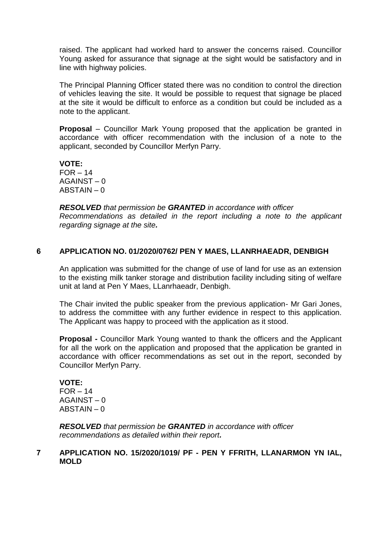raised. The applicant had worked hard to answer the concerns raised. Councillor Young asked for assurance that signage at the sight would be satisfactory and in line with highway policies.

The Principal Planning Officer stated there was no condition to control the direction of vehicles leaving the site. It would be possible to request that signage be placed at the site it would be difficult to enforce as a condition but could be included as a note to the applicant.

**Proposal** – Councillor Mark Young proposed that the application be granted in accordance with officer recommendation with the inclusion of a note to the applicant, seconded by Councillor Merfyn Parry.

**VOTE:**  $FOR - 14$ AGAINST – 0 ABSTAIN – 0

*RESOLVED that permission be GRANTED in accordance with officer Recommendations as detailed in the report including a note to the applicant regarding signage at the site.*

### **6 APPLICATION NO. 01/2020/0762/ PEN Y MAES, LLANRHAEADR, DENBIGH**

An application was submitted for the change of use of land for use as an extension to the existing milk tanker storage and distribution facility including siting of welfare unit at land at Pen Y Maes, LLanrhaeadr, Denbigh.

The Chair invited the public speaker from the previous application- Mr Gari Jones, to address the committee with any further evidence in respect to this application. The Applicant was happy to proceed with the application as it stood.

**Proposal -** Councillor Mark Young wanted to thank the officers and the Applicant for all the work on the application and proposed that the application be granted in accordance with officer recommendations as set out in the report, seconded by Councillor Merfyn Parry.

#### **VOTE:**

 $FOR - 14$ AGAINST – 0 ABSTAIN – 0

*RESOLVED that permission be GRANTED in accordance with officer recommendations as detailed within their report.*

### **7 APPLICATION NO. 15/2020/1019/ PF - PEN Y FFRITH, LLANARMON YN IAL, MOLD**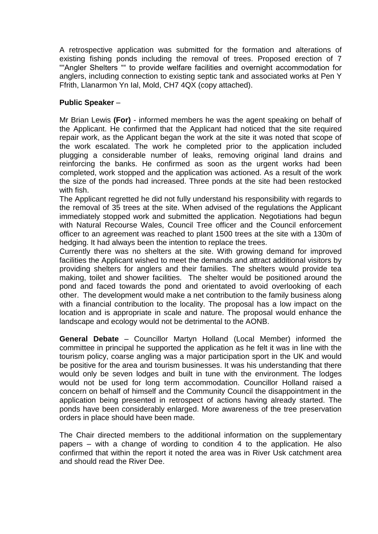A retrospective application was submitted for the formation and alterations of existing fishing ponds including the removal of trees. Proposed erection of 7 ""Angler Shelters "" to provide welfare facilities and overnight accommodation for anglers, including connection to existing septic tank and associated works at Pen Y Ffrith, Llanarmon Yn Ial, Mold, CH7 4QX (copy attached).

# **Public Speaker** –

Mr Brian Lewis **(For)** - informed members he was the agent speaking on behalf of the Applicant. He confirmed that the Applicant had noticed that the site required repair work, as the Applicant began the work at the site it was noted that scope of the work escalated. The work he completed prior to the application included plugging a considerable number of leaks, removing original land drains and reinforcing the banks. He confirmed as soon as the urgent works had been completed, work stopped and the application was actioned. As a result of the work the size of the ponds had increased. Three ponds at the site had been restocked with fish.

The Applicant regretted he did not fully understand his responsibility with regards to the removal of 35 trees at the site. When advised of the regulations the Applicant immediately stopped work and submitted the application. Negotiations had begun with Natural Recourse Wales, Council Tree officer and the Council enforcement officer to an agreement was reached to plant 1500 trees at the site with a 130m of hedging. It had always been the intention to replace the trees.

Currently there was no shelters at the site. With growing demand for improved facilities the Applicant wished to meet the demands and attract additional visitors by providing shelters for anglers and their families. The shelters would provide tea making, toilet and shower facilities. The shelter would be positioned around the pond and faced towards the pond and orientated to avoid overlooking of each other. The development would make a net contribution to the family business along with a financial contribution to the locality. The proposal has a low impact on the location and is appropriate in scale and nature. The proposal would enhance the landscape and ecology would not be detrimental to the AONB.

**General Debate** – Councillor Martyn Holland (Local Member) informed the committee in principal he supported the application as he felt it was in line with the tourism policy, coarse angling was a major participation sport in the UK and would be positive for the area and tourism businesses. It was his understanding that there would only be seven lodges and built in tune with the environment. The lodges would not be used for long term accommodation. Councillor Holland raised a concern on behalf of himself and the Community Council the disappointment in the application being presented in retrospect of actions having already started. The ponds have been considerably enlarged. More awareness of the tree preservation orders in place should have been made.

The Chair directed members to the additional information on the supplementary papers – with a change of wording to condition 4 to the application. He also confirmed that within the report it noted the area was in River Usk catchment area and should read the River Dee.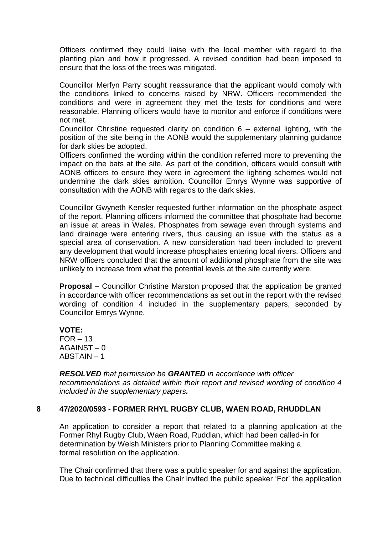Officers confirmed they could liaise with the local member with regard to the planting plan and how it progressed. A revised condition had been imposed to ensure that the loss of the trees was mitigated.

Councillor Merfyn Parry sought reassurance that the applicant would comply with the conditions linked to concerns raised by NRW. Officers recommended the conditions and were in agreement they met the tests for conditions and were reasonable. Planning officers would have to monitor and enforce if conditions were not met.

Councillor Christine requested clarity on condition 6 – external lighting, with the position of the site being in the AONB would the supplementary planning guidance for dark skies be adopted.

Officers confirmed the wording within the condition referred more to preventing the impact on the bats at the site. As part of the condition, officers would consult with AONB officers to ensure they were in agreement the lighting schemes would not undermine the dark skies ambition. Councillor Emrys Wynne was supportive of consultation with the AONB with regards to the dark skies.

Councillor Gwyneth Kensler requested further information on the phosphate aspect of the report. Planning officers informed the committee that phosphate had become an issue at areas in Wales. Phosphates from sewage even through systems and land drainage were entering rivers, thus causing an issue with the status as a special area of conservation. A new consideration had been included to prevent any development that would increase phosphates entering local rivers. Officers and NRW officers concluded that the amount of additional phosphate from the site was unlikely to increase from what the potential levels at the site currently were.

**Proposal –** Councillor Christine Marston proposed that the application be granted in accordance with officer recommendations as set out in the report with the revised wording of condition 4 included in the supplementary papers, seconded by Councillor Emrys Wynne.

**VOTE:**  $FOR - 13$ AGAINST – 0 ABSTAIN – 1

*RESOLVED that permission be GRANTED in accordance with officer recommendations as detailed within their report and revised wording of condition 4 included in the supplementary papers.*

# **8 47/2020/0593 - FORMER RHYL RUGBY CLUB, WAEN ROAD, RHUDDLAN**

An application to consider a report that related to a planning application at the Former Rhyl Rugby Club, Waen Road, Ruddlan, which had been called-in for determination by Welsh Ministers prior to Planning Committee making a formal resolution on the application.

The Chair confirmed that there was a public speaker for and against the application. Due to technical difficulties the Chair invited the public speaker 'For' the application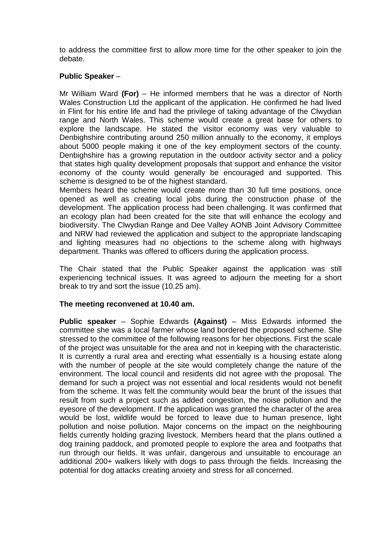to address the committee first to allow more time for the other speaker to join the debate.

# **Public Speaker** –

Mr William Ward **(For)** – He informed members that he was a director of North Wales Construction Ltd the applicant of the application. He confirmed he had lived in Flint for his entire life and had the privilege of taking advantage of the Clwydian range and North Wales. This scheme would create a great base for others to explore the landscape. He stated the visitor economy was very valuable to Denbighshire contributing around 250 million annually to the economy, it employs about 5000 people making it one of the key employment sectors of the county. Denbighshire has a growing reputation in the outdoor activity sector and a policy that states high quality development proposals that support and enhance the visitor economy of the county would generally be encouraged and supported. This scheme is designed to be of the highest standard.

Members heard the scheme would create more than 30 full time positions, once opened as well as creating local jobs during the construction phase of the development. The application process had been challenging. It was confirmed that an ecology plan had been created for the site that will enhance the ecology and biodiversity. The Clwydian Range and Dee Valley AONB Joint Advisory Committee and NRW had reviewed the application and subject to the appropriate landscaping and lighting measures had no objections to the scheme along with highways department. Thanks was offered to officers during the application process.

The Chair stated that the Public Speaker against the application was still experiencing technical issues. It was agreed to adjourn the meeting for a short break to try and sort the issue (10.25 am).

# **The meeting reconvened at 10.40 am.**

**Public speaker** – Sophie Edwards **(Against)** – Miss Edwards informed the committee she was a local farmer whose land bordered the proposed scheme. She stressed to the committee of the following reasons for her objections. First the scale of the project was unsuitable for the area and not in keeping with the characteristic. It is currently a rural area and erecting what essentially is a housing estate along with the number of people at the site would completely change the nature of the environment. The local council and residents did not agree with the proposal. The demand for such a project was not essential and local residents would not benefit from the scheme. It was felt the community would bear the brunt of the issues that result from such a project such as added congestion, the noise pollution and the eyesore of the development. If the application was granted the character of the area would be lost, wildlife would be forced to leave due to human presence, light pollution and noise pollution. Major concerns on the impact on the neighbouring fields currently holding grazing livestock. Members heard that the plans outlined a dog training paddock, and promoted people to explore the area and footpaths that run through our fields. It was unfair, dangerous and unsuitable to encourage an additional 200+ walkers likely with dogs to pass through the fields. Increasing the potential for dog attacks creating anxiety and stress for all concerned.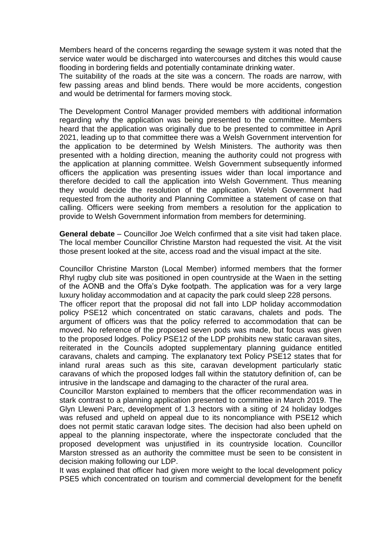Members heard of the concerns regarding the sewage system it was noted that the service water would be discharged into watercourses and ditches this would cause flooding in bordering fields and potentially contaminate drinking water.

The suitability of the roads at the site was a concern. The roads are narrow, with few passing areas and blind bends. There would be more accidents, congestion and would be detrimental for farmers moving stock.

The Development Control Manager provided members with additional information regarding why the application was being presented to the committee. Members heard that the application was originally due to be presented to committee in April 2021, leading up to that committee there was a Welsh Government intervention for the application to be determined by Welsh Ministers. The authority was then presented with a holding direction, meaning the authority could not progress with the application at planning committee. Welsh Government subsequently informed officers the application was presenting issues wider than local importance and therefore decided to call the application into Welsh Government. Thus meaning they would decide the resolution of the application. Welsh Government had requested from the authority and Planning Committee a statement of case on that calling. Officers were seeking from members a resolution for the application to provide to Welsh Government information from members for determining.

**General debate** – Councillor Joe Welch confirmed that a site visit had taken place. The local member Councillor Christine Marston had requested the visit. At the visit those present looked at the site, access road and the visual impact at the site.

Councillor Christine Marston (Local Member) informed members that the former Rhyl rugby club site was positioned in open countryside at the Waen in the setting of the AONB and the Offa's Dyke footpath. The application was for a very large luxury holiday accommodation and at capacity the park could sleep 228 persons.

The officer report that the proposal did not fall into LDP holiday accommodation policy PSE12 which concentrated on static caravans, chalets and pods. The argument of officers was that the policy referred to accommodation that can be moved. No reference of the proposed seven pods was made, but focus was given to the proposed lodges. Policy PSE12 of the LDP prohibits new static caravan sites, reiterated in the Councils adopted supplementary planning guidance entitled caravans, chalets and camping. The explanatory text Policy PSE12 states that for inland rural areas such as this site, caravan development particularly static caravans of which the proposed lodges fall within the statutory definition of, can be intrusive in the landscape and damaging to the character of the rural area.

Councillor Marston explained to members that the officer recommendation was in stark contrast to a planning application presented to committee in March 2019. The Glyn Lleweni Parc, development of 1.3 hectors with a siting of 24 holiday lodges was refused and upheld on appeal due to its noncompliance with PSE12 which does not permit static caravan lodge sites. The decision had also been upheld on appeal to the planning inspectorate, where the inspectorate concluded that the proposed development was unjustified in its countryside location. Councillor Marston stressed as an authority the committee must be seen to be consistent in decision making following our LDP.

It was explained that officer had given more weight to the local development policy PSE5 which concentrated on tourism and commercial development for the benefit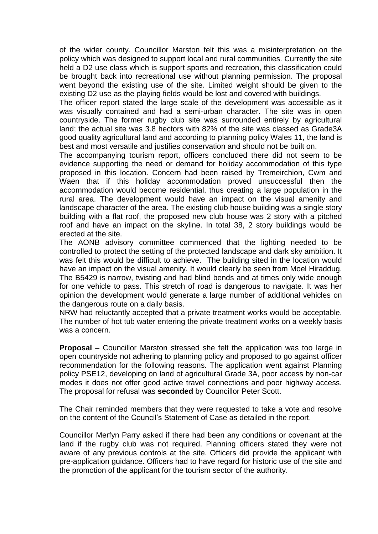of the wider county. Councillor Marston felt this was a misinterpretation on the policy which was designed to support local and rural communities. Currently the site held a D2 use class which is support sports and recreation, this classification could be brought back into recreational use without planning permission. The proposal went beyond the existing use of the site. Limited weight should be given to the existing D2 use as the playing fields would be lost and covered with buildings.

The officer report stated the large scale of the development was accessible as it was visually contained and had a semi-urban character. The site was in open countryside. The former rugby club site was surrounded entirely by agricultural land; the actual site was 3.8 hectors with 82% of the site was classed as Grade3A good quality agricultural land and according to planning policy Wales 11, the land is best and most versatile and justifies conservation and should not be built on.

The accompanying tourism report, officers concluded there did not seem to be evidence supporting the need or demand for holiday accommodation of this type proposed in this location. Concern had been raised by Tremeirchion, Cwm and Waen that if this holiday accommodation proved unsuccessful then the accommodation would become residential, thus creating a large population in the rural area. The development would have an impact on the visual amenity and landscape character of the area. The existing club house building was a single story building with a flat roof, the proposed new club house was 2 story with a pitched roof and have an impact on the skyline. In total 38, 2 story buildings would be erected at the site.

The AONB advisory committee commenced that the lighting needed to be controlled to protect the setting of the protected landscape and dark sky ambition. It was felt this would be difficult to achieve. The building sited in the location would have an impact on the visual amenity. It would clearly be seen from Moel Hiraddug. The B5429 is narrow, twisting and had blind bends and at times only wide enough for one vehicle to pass. This stretch of road is dangerous to navigate. It was her opinion the development would generate a large number of additional vehicles on the dangerous route on a daily basis.

NRW had reluctantly accepted that a private treatment works would be acceptable. The number of hot tub water entering the private treatment works on a weekly basis was a concern.

**Proposal –** Councillor Marston stressed she felt the application was too large in open countryside not adhering to planning policy and proposed to go against officer recommendation for the following reasons. The application went against Planning policy PSE12, developing on land of agricultural Grade 3A, poor access by non-car modes it does not offer good active travel connections and poor highway access. The proposal for refusal was **seconded** by Councillor Peter Scott.

The Chair reminded members that they were requested to take a vote and resolve on the content of the Council's Statement of Case as detailed in the report.

Councillor Merfyn Parry asked if there had been any conditions or covenant at the land if the rugby club was not required. Planning officers stated they were not aware of any previous controls at the site. Officers did provide the applicant with pre-application guidance. Officers had to have regard for historic use of the site and the promotion of the applicant for the tourism sector of the authority.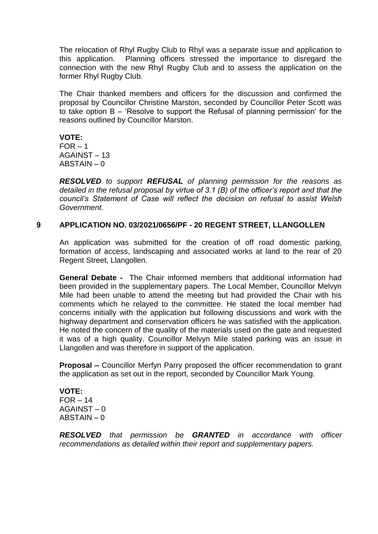The relocation of Rhyl Rugby Club to Rhyl was a separate issue and application to this application. Planning officers stressed the importance to disregard the connection with the new Rhyl Rugby Club and to assess the application on the former Rhyl Rugby Club.

The Chair thanked members and officers for the discussion and confirmed the proposal by Councillor Christine Marston, seconded by Councillor Peter Scott was to take option B – 'Resolve to support the Refusal of planning permission' for the reasons outlined by Councillor Marston.

**VOTE:**  $FOR - 1$ AGAINST – 13 ABSTAIN – 0

*RESOLVED to support REFUSAL of planning permission for the reasons as detailed in the refusal proposal by virtue of 3.1 (B) of the officer's report and that the council's Statement of Case will reflect the decision on refusal to assist Welsh Government.*

### **9 APPLICATION NO. 03/2021/0656/PF - 20 REGENT STREET, LLANGOLLEN**

An application was submitted for the creation of off road domestic parking, formation of access, landscaping and associated works at land to the rear of 20 Regent Street, Llangollen.

**General Debate -** The Chair informed members that additional information had been provided in the supplementary papers. The Local Member, Councillor Melvyn Mile had been unable to attend the meeting but had provided the Chair with his comments which he relayed to the committee. He stated the local member had concerns initially with the application but following discussions and work with the highway department and conservation officers he was satisfied with the application. He noted the concern of the quality of the materials used on the gate and requested it was of a high quality. Councillor Melvyn Mile stated parking was an issue in Llangollen and was therefore in support of the application.

**Proposal –** Councillor Merfyn Parry proposed the officer recommendation to grant the application as set out in the report, seconded by Councillor Mark Young.

**VOTE:**  $FOR - 14$ AGAINST – 0 ABSTAIN – 0

*RESOLVED that permission be GRANTED in accordance with officer recommendations as detailed within their report and supplementary papers.*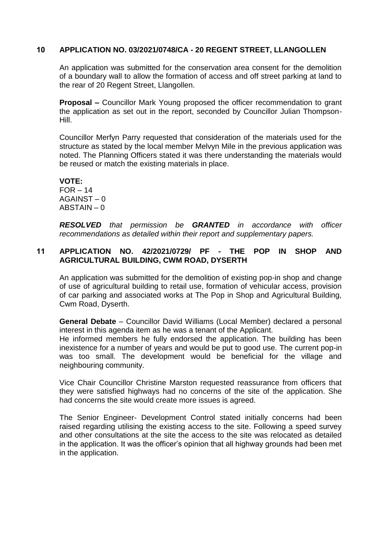# **10 APPLICATION NO. 03/2021/0748/CA - 20 REGENT STREET, LLANGOLLEN**

An application was submitted for the conservation area consent for the demolition of a boundary wall to allow the formation of access and off street parking at land to the rear of 20 Regent Street, Llangollen.

**Proposal –** Councillor Mark Young proposed the officer recommendation to grant the application as set out in the report, seconded by Councillor Julian Thompson-Hill.

Councillor Merfyn Parry requested that consideration of the materials used for the structure as stated by the local member Melvyn Mile in the previous application was noted. The Planning Officers stated it was there understanding the materials would be reused or match the existing materials in place.

**VOTE:**  $FOR - 14$  $AGAINST - 0$ ABSTAIN – 0

*RESOLVED that permission be GRANTED in accordance with officer recommendations as detailed within their report and supplementary papers.*

# **11 APPLICATION NO. 42/2021/0729/ PF - THE POP IN SHOP AND AGRICULTURAL BUILDING, CWM ROAD, DYSERTH**

An application was submitted for the demolition of existing pop-in shop and change of use of agricultural building to retail use, formation of vehicular access, provision of car parking and associated works at The Pop in Shop and Agricultural Building, Cwm Road, Dyserth.

**General Debate** – Councillor David Williams (Local Member) declared a personal interest in this agenda item as he was a tenant of the Applicant.

He informed members he fully endorsed the application. The building has been inexistence for a number of years and would be put to good use. The current pop-in was too small. The development would be beneficial for the village and neighbouring community.

Vice Chair Councillor Christine Marston requested reassurance from officers that they were satisfied highways had no concerns of the site of the application. She had concerns the site would create more issues is agreed.

The Senior Engineer- Development Control stated initially concerns had been raised regarding utilising the existing access to the site. Following a speed survey and other consultations at the site the access to the site was relocated as detailed in the application. It was the officer's opinion that all highway grounds had been met in the application.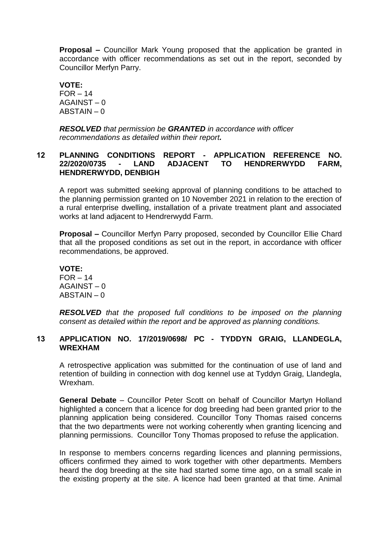**Proposal –** Councillor Mark Young proposed that the application be granted in accordance with officer recommendations as set out in the report, seconded by Councillor Merfyn Parry.

**VOTE:**  $FOR - 14$ AGAINST – 0 ABSTAIN – 0

*RESOLVED that permission be GRANTED in accordance with officer recommendations as detailed within their report.*

# **12 PLANNING CONDITIONS REPORT - APPLICATION REFERENCE NO. 22/2020/0735 - LAND ADJACENT TO HENDRERWYDD FARM, HENDRERWYDD, DENBIGH**

A report was submitted seeking approval of planning conditions to be attached to the planning permission granted on 10 November 2021 in relation to the erection of a rural enterprise dwelling, installation of a private treatment plant and associated works at land adjacent to Hendrerwydd Farm.

**Proposal –** Councillor Merfyn Parry proposed, seconded by Councillor Ellie Chard that all the proposed conditions as set out in the report, in accordance with officer recommendations, be approved.

**VOTE:**  $FOR - 14$ AGAINST – 0 ABSTAIN – 0

*RESOLVED that the proposed full conditions to be imposed on the planning consent as detailed within the report and be approved as planning conditions.*

# **13 APPLICATION NO. 17/2019/0698/ PC - TYDDYN GRAIG, LLANDEGLA, WREXHAM**

A retrospective application was submitted for the continuation of use of land and retention of building in connection with dog kennel use at Tyddyn Graig, Llandegla, Wrexham.

**General Debate** – Councillor Peter Scott on behalf of Councillor Martyn Holland highlighted a concern that a licence for dog breeding had been granted prior to the planning application being considered. Councillor Tony Thomas raised concerns that the two departments were not working coherently when granting licencing and planning permissions. Councillor Tony Thomas proposed to refuse the application.

In response to members concerns regarding licences and planning permissions, officers confirmed they aimed to work together with other departments. Members heard the dog breeding at the site had started some time ago, on a small scale in the existing property at the site. A licence had been granted at that time. Animal